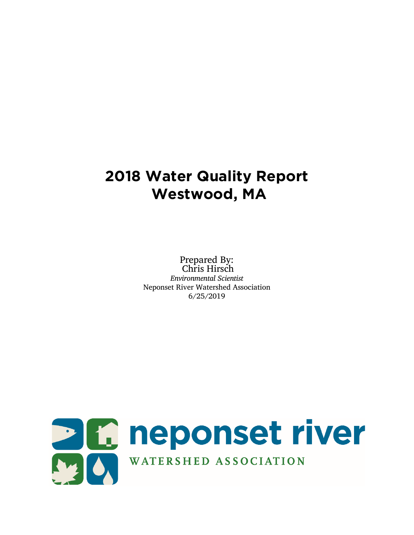# **2018 Water Quality Report Westwood, MA**

Prepared By: Chris Hirsch *Environmental Scientist* Neponset River Watershed Association 6/25/2019

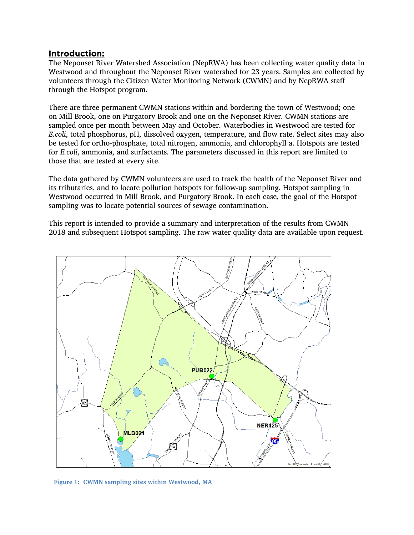#### Introduction:

The Neponset River Watershed Association (NepRWA) has been collecting water quality data in Westwood and throughout the Neponset River watershed for 23 years. Samples are collected by volunteers through the Citizen Water Monitoring Network (CWMN) and by NepRWA staff through the Hotspot program.

There are three permanent CWMN stations within and bordering the town of Westwood; one on Mill Brook, one on Purgatory Brook and one on the Neponset River. CWMN stations are sampled once per month between May and October. Waterbodies in Westwood are tested for *E.coli*, total phosphorus, pH, dissolved oxygen, temperature, and flow rate. Select sites may also be tested for ortho-phosphate, total nitrogen, ammonia, and chlorophyll a. Hotspots are tested for *E.coli*, ammonia, and surfactants. The parameters discussed in this report are limited to those that are tested at every site.

The data gathered by CWMN volunteers are used to track the health of the Neponset River and its tributaries, and to locate pollution hotspots for follow-up sampling. Hotspot sampling in Westwood occurred in Mill Brook, and Purgatory Brook. In each case, the goal of the Hotspot sampling was to locate potential sources of sewage contamination.

This report is intended to provide a summary and interpretation of the results from CWMN 2018 and subsequent Hotspot sampling. The raw water quality data are available upon request.



**Figure 1: CWMN sampling sites within Westwood, MA**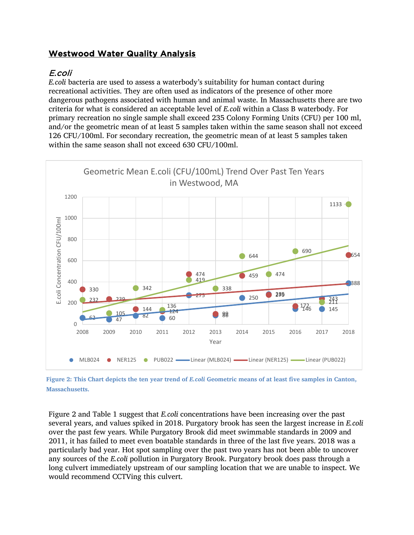# Westwood Water Quality Analysis

## E.coli

*E.coli* bacteria are used to assess a waterbody's suitability for human contact during recreational activities. They are often used as indicators of the presence of other more dangerous pathogens associated with human and animal waste. In Massachusetts there are two criteria for what is considered an acceptable level of *E.coli* within a Class B waterbody. For primary recreation no single sample shall exceed 235 Colony Forming Units (CFU) per 100 ml, and/or the geometric mean of at least 5 samples taken within the same season shall not exceed 126 CFU/100ml. For secondary recreation, the geometric mean of at least 5 samples taken within the same season shall not exceed 630 CFU/100ml.



**Figure 2: This Chart depicts the ten year trend of** *E.coli* **Geometric means of at least five samples in Canton, Massachusetts.** 

Figure 2 and Table 1 suggest that *E.coli* concentrations have been increasing over the past several years, and values spiked in 2018. Purgatory brook has seen the largest increase in *E.coli* over the past few years. While Purgatory Brook did meet swimmable standards in 2009 and 2011, it has failed to meet even boatable standards in three of the last five years. 2018 was a particularly bad year. Hot spot sampling over the past two years has not been able to uncover any sources of the *E.coli* pollution in Purgatory Brook. Purgatory brook does pass through a long culvert immediately upstream of our sampling location that we are unable to inspect. We would recommend CCTVing this culvert.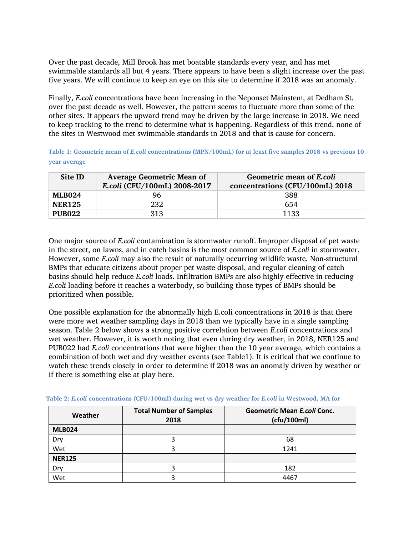Over the past decade, Mill Brook has met boatable standards every year, and has met swimmable standards all but 4 years. There appears to have been a slight increase over the past five years. We will continue to keep an eye on this site to determine if 2018 was an anomaly.

Finally, *E.coli* concentrations have been increasing in the Neponset Mainstem, at Dedham St, over the past decade as well. However, the pattern seems to fluctuate more than some of the other sites. It appears the upward trend may be driven by the large increase in 2018. We need to keep tracking to the trend to determine what is happening. Regardless of this trend, none of the sites in Westwood met swimmable standards in 2018 and that is cause for concern.

**Table 1: Geometric mean of** *E.coli* **concentrations (MPN/100mL) for at least five samples 2018 vs previous 10 year average**

| Site ID       | <b>Average Geometric Mean of</b><br>E.coli (CFU/100mL) 2008-2017 | Geometric mean of E.coli<br>concentrations (CFU/100mL) 2018 |
|---------------|------------------------------------------------------------------|-------------------------------------------------------------|
| <b>MLB024</b> | 96                                                               | 388                                                         |
| <b>NER125</b> | 232                                                              | 654                                                         |
| <b>PUB022</b> | 313                                                              | 1133                                                        |

One major source of *E.coli* contamination is stormwater runoff. Improper disposal of pet waste in the street, on lawns, and in catch basins is the most common source of *E.coli* in stormwater. However, some *E.coli* may also the result of naturally occurring wildlife waste. Non-structural BMPs that educate citizens about proper pet waste disposal, and regular cleaning of catch basins should help reduce *E.coli* loads. Infiltration BMPs are also highly effective in reducing *E.coli* loading before it reaches a waterbody, so building those types of BMPs should be prioritized when possible.

One possible explanation for the abnormally high E.coli concentrations in 2018 is that there were more wet weather sampling days in 2018 than we typically have in a single sampling season. Table 2 below shows a strong positive correlation between *E.coli* concentrations and wet weather. However, it is worth noting that even during dry weather, in 2018, NER125 and PUB022 had *E.coli* concentrations that were higher than the 10 year average, which contains a combination of both wet and dry weather events (see Table1). It is critical that we continue to watch these trends closely in order to determine if 2018 was an anomaly driven by weather or if there is something else at play here.

| Weather       | <b>Total Number of Samples</b><br>2018 | Geometric Mean E.coli Conc.<br>(cfu/100ml) |
|---------------|----------------------------------------|--------------------------------------------|
| <b>MLB024</b> |                                        |                                            |
| Dry           |                                        | 68                                         |
| Wet           |                                        | 1241                                       |
| <b>NER125</b> |                                        |                                            |
| Dry           |                                        | 182                                        |
| Wet           |                                        | 4467                                       |

**Table 2:** *E.coli* **concentrations (CFU/100ml) during wet vs dry weather for** *E.coli* **in Westwood, MA for**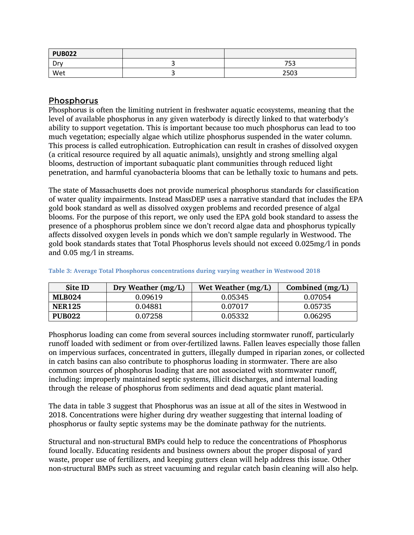| <b>PUB022</b>        |             |
|----------------------|-------------|
| D <sub>m</sub><br>יש | フロつ<br>່ ວວ |
| Wet                  | 2503        |

### Phosphorus

Phosphorus is often the limiting nutrient in freshwater aquatic ecosystems, meaning that the level of available phosphorus in any given waterbody is directly linked to that waterbody's ability to support vegetation. This is important because too much phosphorus can lead to too much vegetation; especially algae which utilize phosphorus suspended in the water column. This process is called eutrophication. Eutrophication can result in crashes of dissolved oxygen (a critical resource required by all aquatic animals), unsightly and strong smelling algal blooms, destruction of important subaquatic plant communities through reduced light penetration, and harmful cyanobacteria blooms that can be lethally toxic to humans and pets.

The state of Massachusetts does not provide numerical phosphorus standards for classification of water quality impairments. Instead MassDEP uses a narrative standard that includes the EPA gold book standard as well as dissolved oxygen problems and recorded presence of algal blooms. For the purpose of this report, we only used the EPA gold book standard to assess the presence of a phosphorus problem since we don't record algae data and phosphorus typically affects dissolved oxygen levels in ponds which we don't sample regularly in Westwood. The gold book standards states that Total Phosphorus levels should not exceed 0.025mg/l in ponds and 0.05 mg/l in streams.

| Site ID       | Dry Weather $(mg/L)$ | Wet Weather $(mg/L)$ | Combined $(mg/L)$ |
|---------------|----------------------|----------------------|-------------------|
| <b>MLB024</b> | 0.09619              | 0.05345              | 0.07054           |
| <b>NER125</b> | 0.04881              | 0.07017              | 0.05735           |
| <b>PUB022</b> | 0.07258              | 0.05332              | 0.06295           |

**Table 3: Average Total Phosphorus concentrations during varying weather in Westwood 2018** 

Phosphorus loading can come from several sources including stormwater runoff, particularly runoff loaded with sediment or from over-fertilized lawns. Fallen leaves especially those fallen on impervious surfaces, concentrated in gutters, illegally dumped in riparian zones, or collected in catch basins can also contribute to phosphorus loading in stormwater. There are also common sources of phosphorus loading that are not associated with stormwater runoff, including: improperly maintained septic systems, illicit discharges, and internal loading through the release of phosphorus from sediments and dead aquatic plant material.

The data in table 3 suggest that Phosphorus was an issue at all of the sites in Westwood in 2018. Concentrations were higher during dry weather suggesting that internal loading of phosphorus or faulty septic systems may be the dominate pathway for the nutrients.

Structural and non-structural BMPs could help to reduce the concentrations of Phosphorus found locally. Educating residents and business owners about the proper disposal of yard waste, proper use of fertilizers, and keeping gutters clean will help address this issue. Other non-structural BMPs such as street vacuuming and regular catch basin cleaning will also help.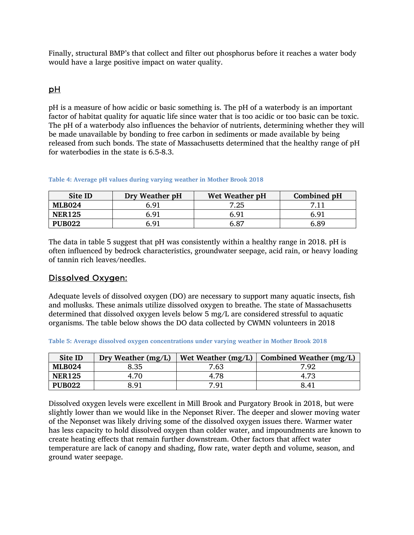Finally, structural BMP's that collect and filter out phosphorus before it reaches a water body would have a large positive impact on water quality.

### pH

pH is a measure of how acidic or basic something is. The pH of a waterbody is an important factor of habitat quality for aquatic life since water that is too acidic or too basic can be toxic. The pH of a waterbody also influences the behavior of nutrients, determining whether they will be made unavailable by bonding to free carbon in sediments or made available by being released from such bonds. The state of Massachusetts determined that the healthy range of pH for waterbodies in the state is 6.5-8.3.

#### **Table 4: Average pH values during varying weather in Mother Brook 2018**

| Site ID       | Dry Weather pH | Wet Weather pH | Combined pH |
|---------------|----------------|----------------|-------------|
| <b>MLB024</b> | 6.91           | 7.25           |             |
| <b>NER125</b> | 6.91           | 6.91           | 6.91        |
| <b>PUB022</b> | ճ.91           | 6.87           | 6.89        |

The data in table 5 suggest that pH was consistently within a healthy range in 2018. pH is often influenced by bedrock characteristics, groundwater seepage, acid rain, or heavy loading of tannin rich leaves/needles.

#### Dissolved Oxygen:

Adequate levels of dissolved oxygen (DO) are necessary to support many aquatic insects, fish and mollusks. These animals utilize dissolved oxygen to breathe. The state of Massachusetts determined that dissolved oxygen levels below 5 mg/L are considered stressful to aquatic organisms. The table below shows the DO data collected by CWMN volunteers in 2018

|  |  |  | Table 5: Average dissolved oxygen concentrations under varying weather in Mother Brook 2018 |  |  |  |  |  |  |
|--|--|--|---------------------------------------------------------------------------------------------|--|--|--|--|--|--|
|--|--|--|---------------------------------------------------------------------------------------------|--|--|--|--|--|--|

| Site ID       | Dry Weather $(mg/L)$ | Wet Weather $(mg/L)$ | Combined Weather $(mg/L)$ |
|---------------|----------------------|----------------------|---------------------------|
| <b>MLB024</b> | 8.35                 | 7.63                 | 7.92                      |
| <b>NER125</b> | 4.70                 | 4.78                 | 4.73                      |
| <b>PUB022</b> | 8.91                 | 7.91                 | 8.41                      |

Dissolved oxygen levels were excellent in Mill Brook and Purgatory Brook in 2018, but were slightly lower than we would like in the Neponset River. The deeper and slower moving water of the Neponset was likely driving some of the dissolved oxygen issues there. Warmer water has less capacity to hold dissolved oxygen than colder water, and impoundments are known to create heating effects that remain further downstream. Other factors that affect water temperature are lack of canopy and shading, flow rate, water depth and volume, season, and ground water seepage.